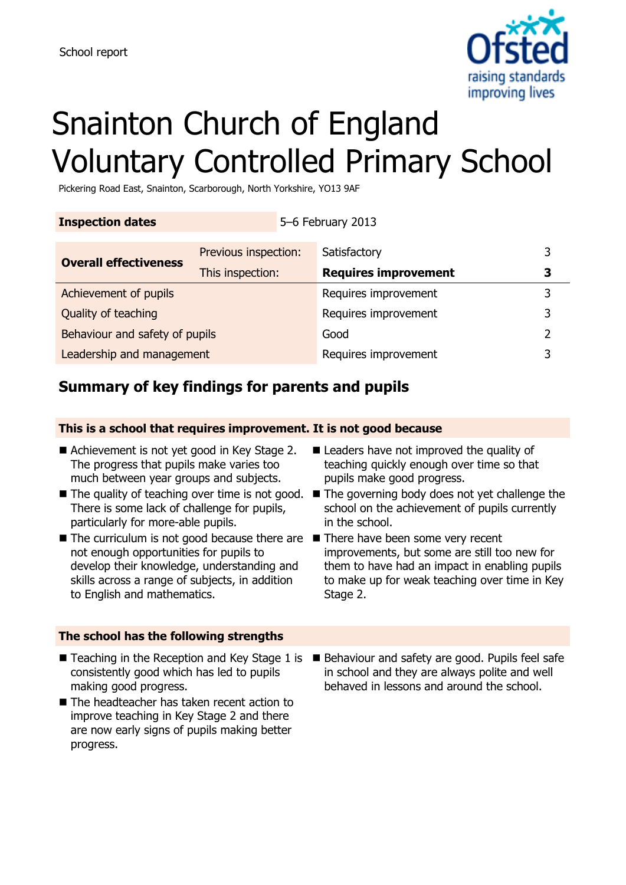

# Snainton Church of England Voluntary Controlled Primary School

Pickering Road East, Snainton, Scarborough, North Yorkshire, YO13 9AF

| <b>Inspection dates</b>        |                      |                      | 5-6 February 2013           |   |
|--------------------------------|----------------------|----------------------|-----------------------------|---|
| <b>Overall effectiveness</b>   | Previous inspection: |                      | Satisfactory                |   |
|                                | This inspection:     |                      | <b>Requires improvement</b> |   |
| Achievement of pupils          |                      |                      | Requires improvement        |   |
| Quality of teaching            |                      | Requires improvement | 3                           |   |
| Behaviour and safety of pupils |                      |                      | Good                        | フ |
| Leadership and management      |                      |                      | Requires improvement        |   |

# **Summary of key findings for parents and pupils**

### **This is a school that requires improvement. It is not good because**

- Achievement is not yet good in Key Stage 2. The progress that pupils make varies too much between year groups and subjects.
- There is some lack of challenge for pupils, particularly for more-able pupils.
- $\blacksquare$  The curriculum is not good because there are  $\blacksquare$  There have been some very recent not enough opportunities for pupils to develop their knowledge, understanding and skills across a range of subjects, in addition to English and mathematics.
- Leaders have not improved the quality of teaching quickly enough over time so that pupils make good progress.
- The quality of teaching over time is not good. The governing body does not yet challenge the school on the achievement of pupils currently in the school.
	- improvements, but some are still too new for them to have had an impact in enabling pupils to make up for weak teaching over time in Key Stage 2.

### **The school has the following strengths**

- consistently good which has led to pupils making good progress.
- The headteacher has taken recent action to improve teaching in Key Stage 2 and there are now early signs of pupils making better progress.
- Teaching in the Reception and Key Stage 1 is Behaviour and safety are good. Pupils feel safe in school and they are always polite and well behaved in lessons and around the school.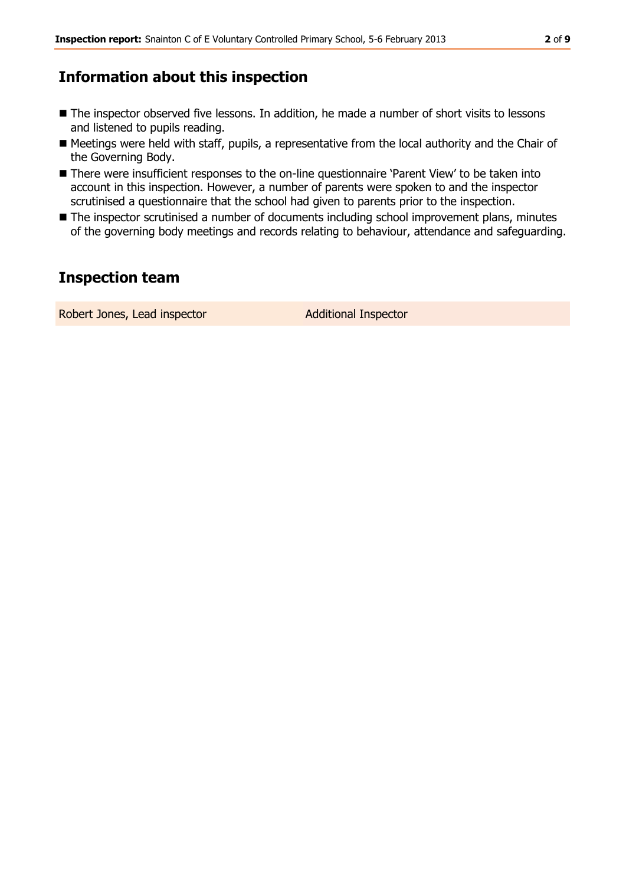# **Information about this inspection**

- The inspector observed five lessons. In addition, he made a number of short visits to lessons and listened to pupils reading.
- Meetings were held with staff, pupils, a representative from the local authority and the Chair of the Governing Body.
- There were insufficient responses to the on-line questionnaire 'Parent View' to be taken into account in this inspection. However, a number of parents were spoken to and the inspector scrutinised a questionnaire that the school had given to parents prior to the inspection.
- The inspector scrutinised a number of documents including school improvement plans, minutes of the governing body meetings and records relating to behaviour, attendance and safeguarding.

# **Inspection team**

Robert Jones, Lead inspector **Additional Inspector**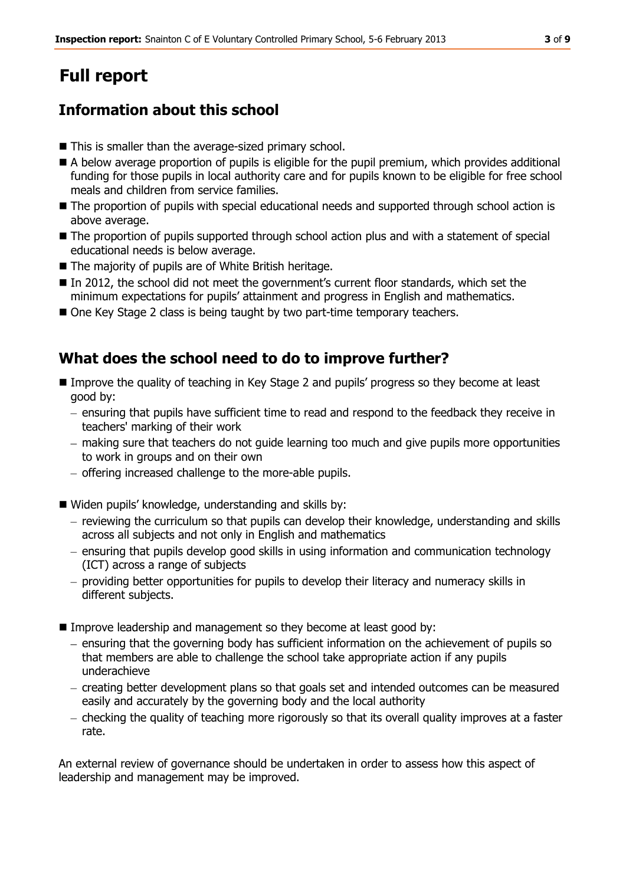# **Full report**

# **Information about this school**

- This is smaller than the average-sized primary school.
- A below average proportion of pupils is eligible for the pupil premium, which provides additional funding for those pupils in local authority care and for pupils known to be eligible for free school meals and children from service families.
- $\blacksquare$  The proportion of pupils with special educational needs and supported through school action is above average.
- $\blacksquare$  The proportion of pupils supported through school action plus and with a statement of special educational needs is below average.
- The majority of pupils are of White British heritage.
- In 2012, the school did not meet the government's current floor standards, which set the minimum expectations for pupils' attainment and progress in English and mathematics.
- One Key Stage 2 class is being taught by two part-time temporary teachers.

## **What does the school need to do to improve further?**

- Improve the quality of teaching in Key Stage 2 and pupils' progress so they become at least good by:
	- ensuring that pupils have sufficient time to read and respond to the feedback they receive in teachers' marking of their work
	- making sure that teachers do not guide learning too much and give pupils more opportunities to work in groups and on their own
	- $-$  offering increased challenge to the more-able pupils.
- Widen pupils' knowledge, understanding and skills by:
	- reviewing the curriculum so that pupils can develop their knowledge, understanding and skills across all subjects and not only in English and mathematics
	- ensuring that pupils develop good skills in using information and communication technology (ICT) across a range of subjects
	- providing better opportunities for pupils to develop their literacy and numeracy skills in different subjects.
- Improve leadership and management so they become at least good by:
	- $-$  ensuring that the governing body has sufficient information on the achievement of pupils so that members are able to challenge the school take appropriate action if any pupils underachieve
	- creating better development plans so that goals set and intended outcomes can be measured easily and accurately by the governing body and the local authority
	- checking the quality of teaching more rigorously so that its overall quality improves at a faster rate.

An external review of governance should be undertaken in order to assess how this aspect of leadership and management may be improved.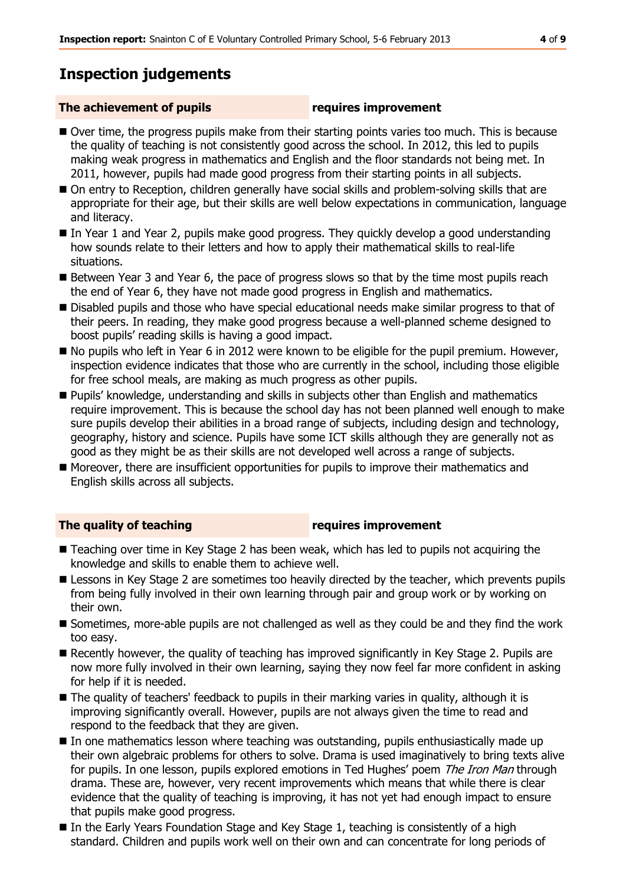# **Inspection judgements**

#### **The achievement of pupils requires improvement**

- Over time, the progress pupils make from their starting points varies too much. This is because the quality of teaching is not consistently good across the school. In 2012, this led to pupils making weak progress in mathematics and English and the floor standards not being met. In 2011, however, pupils had made good progress from their starting points in all subjects.
- On entry to Reception, children generally have social skills and problem-solving skills that are appropriate for their age, but their skills are well below expectations in communication, language and literacy.
- In Year 1 and Year 2, pupils make good progress. They quickly develop a good understanding how sounds relate to their letters and how to apply their mathematical skills to real-life situations.
- Between Year 3 and Year 6, the pace of progress slows so that by the time most pupils reach the end of Year 6, they have not made good progress in English and mathematics.
- Disabled pupils and those who have special educational needs make similar progress to that of their peers. In reading, they make good progress because a well-planned scheme designed to boost pupils' reading skills is having a good impact.
- No pupils who left in Year 6 in 2012 were known to be eligible for the pupil premium. However, inspection evidence indicates that those who are currently in the school, including those eligible for free school meals, are making as much progress as other pupils.
- Pupils' knowledge, understanding and skills in subjects other than English and mathematics require improvement. This is because the school day has not been planned well enough to make sure pupils develop their abilities in a broad range of subjects, including design and technology, geography, history and science. Pupils have some ICT skills although they are generally not as good as they might be as their skills are not developed well across a range of subjects.
- Moreover, there are insufficient opportunities for pupils to improve their mathematics and English skills across all subjects.

#### **The quality of teaching requires improvement**

- Teaching over time in Key Stage 2 has been weak, which has led to pupils not acquiring the knowledge and skills to enable them to achieve well.
- **E** Lessons in Key Stage 2 are sometimes too heavily directed by the teacher, which prevents pupils from being fully involved in their own learning through pair and group work or by working on their own.
- Sometimes, more-able pupils are not challenged as well as they could be and they find the work too easy.
- Recently however, the quality of teaching has improved significantly in Key Stage 2. Pupils are now more fully involved in their own learning, saying they now feel far more confident in asking for help if it is needed.
- The quality of teachers' feedback to pupils in their marking varies in quality, although it is improving significantly overall. However, pupils are not always given the time to read and respond to the feedback that they are given.
- In one mathematics lesson where teaching was outstanding, pupils enthusiastically made up their own algebraic problems for others to solve. Drama is used imaginatively to bring texts alive for pupils. In one lesson, pupils explored emotions in Ted Hughes' poem *The Iron Man* through drama. These are, however, very recent improvements which means that while there is clear evidence that the quality of teaching is improving, it has not yet had enough impact to ensure that pupils make good progress.
- In the Early Years Foundation Stage and Key Stage 1, teaching is consistently of a high standard. Children and pupils work well on their own and can concentrate for long periods of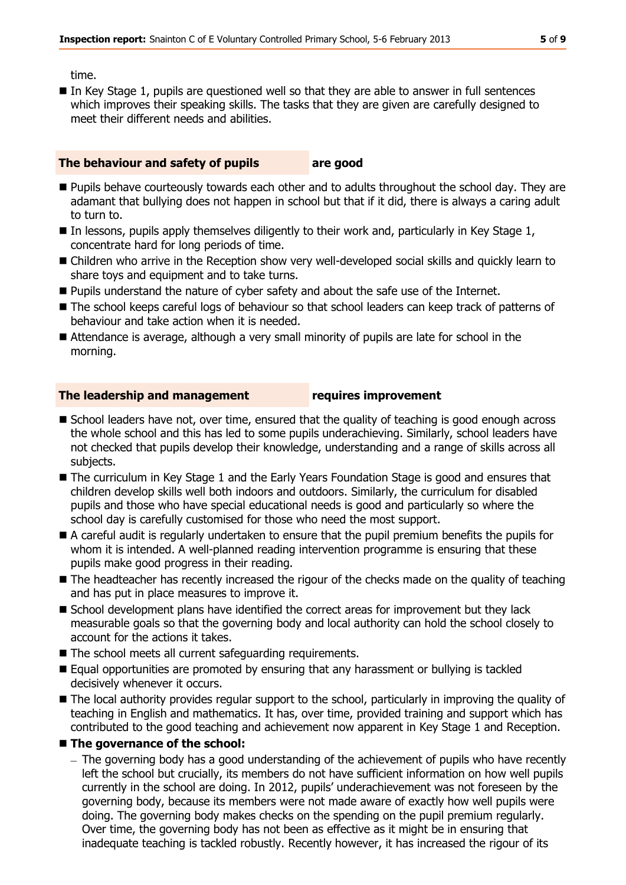time.

■ In Key Stage 1, pupils are questioned well so that they are able to answer in full sentences which improves their speaking skills. The tasks that they are given are carefully designed to meet their different needs and abilities.

#### **The behaviour and safety of pupils are good**

- **Pupils behave courteously towards each other and to adults throughout the school day. They are** adamant that bullying does not happen in school but that if it did, there is always a caring adult to turn to.
- $\blacksquare$  In lessons, pupils apply themselves diligently to their work and, particularly in Key Stage 1, concentrate hard for long periods of time.
- Children who arrive in the Reception show very well-developed social skills and quickly learn to share toys and equipment and to take turns.
- **Pupils understand the nature of cyber safety and about the safe use of the Internet.**
- The school keeps careful logs of behaviour so that school leaders can keep track of patterns of behaviour and take action when it is needed.
- Attendance is average, although a very small minority of pupils are late for school in the morning.

#### **The leadership and management requires improvement**

- School leaders have not, over time, ensured that the quality of teaching is good enough across the whole school and this has led to some pupils underachieving. Similarly, school leaders have not checked that pupils develop their knowledge, understanding and a range of skills across all subjects.
- The curriculum in Key Stage 1 and the Early Years Foundation Stage is good and ensures that children develop skills well both indoors and outdoors. Similarly, the curriculum for disabled pupils and those who have special educational needs is good and particularly so where the school day is carefully customised for those who need the most support.
- A careful audit is regularly undertaken to ensure that the pupil premium benefits the pupils for whom it is intended. A well-planned reading intervention programme is ensuring that these pupils make good progress in their reading.
- The headteacher has recently increased the rigour of the checks made on the quality of teaching and has put in place measures to improve it.
- School development plans have identified the correct areas for improvement but they lack measurable goals so that the governing body and local authority can hold the school closely to account for the actions it takes.
- The school meets all current safeguarding requirements.
- Equal opportunities are promoted by ensuring that any harassment or bullying is tackled decisively whenever it occurs.
- The local authority provides regular support to the school, particularly in improving the quality of teaching in English and mathematics. It has, over time, provided training and support which has contributed to the good teaching and achievement now apparent in Key Stage 1 and Reception.

### **The governance of the school:**

- The governing body has a good understanding of the achievement of pupils who have recently left the school but crucially, its members do not have sufficient information on how well pupils currently in the school are doing. In 2012, pupils' underachievement was not foreseen by the governing body, because its members were not made aware of exactly how well pupils were doing. The governing body makes checks on the spending on the pupil premium regularly. Over time, the governing body has not been as effective as it might be in ensuring that inadequate teaching is tackled robustly. Recently however, it has increased the rigour of its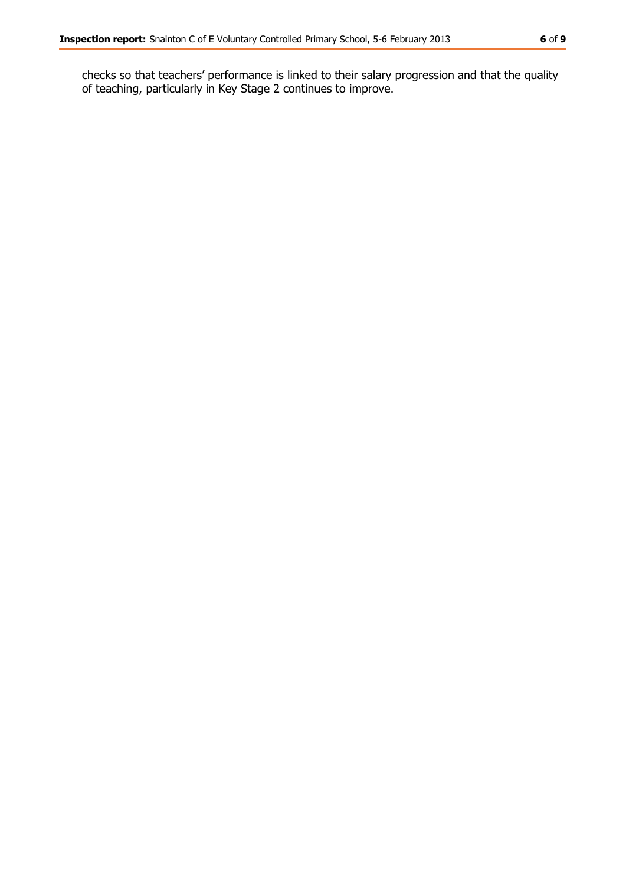checks so that teachers' performance is linked to their salary progression and that the quality of teaching, particularly in Key Stage 2 continues to improve.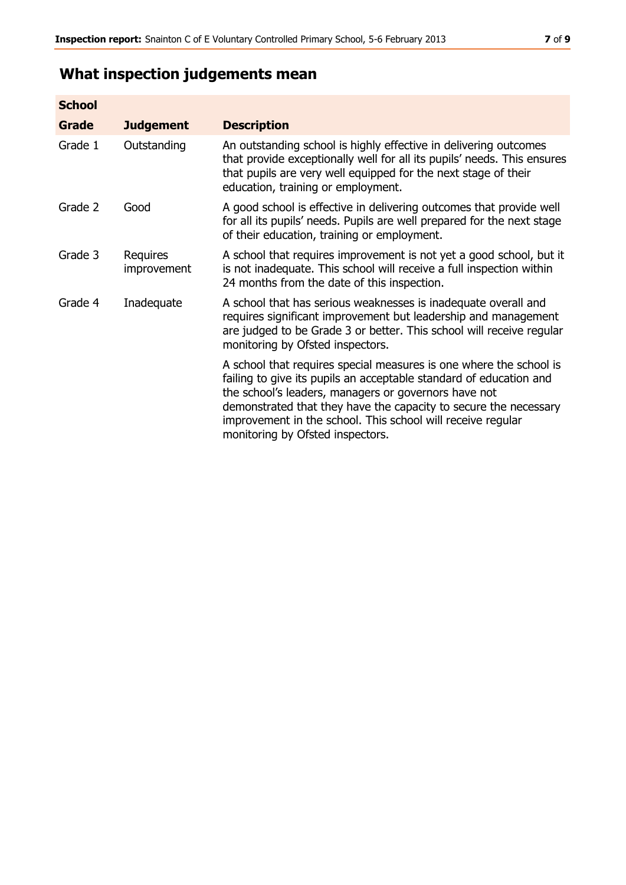| <b>School</b> |                         |                                                                                                                                                                                                                                                                                                                                                                         |
|---------------|-------------------------|-------------------------------------------------------------------------------------------------------------------------------------------------------------------------------------------------------------------------------------------------------------------------------------------------------------------------------------------------------------------------|
| Grade         | <b>Judgement</b>        | <b>Description</b>                                                                                                                                                                                                                                                                                                                                                      |
| Grade 1       | Outstanding             | An outstanding school is highly effective in delivering outcomes<br>that provide exceptionally well for all its pupils' needs. This ensures<br>that pupils are very well equipped for the next stage of their<br>education, training or employment.                                                                                                                     |
| Grade 2       | Good                    | A good school is effective in delivering outcomes that provide well<br>for all its pupils' needs. Pupils are well prepared for the next stage<br>of their education, training or employment.                                                                                                                                                                            |
| Grade 3       | Requires<br>improvement | A school that requires improvement is not yet a good school, but it<br>is not inadequate. This school will receive a full inspection within<br>24 months from the date of this inspection.                                                                                                                                                                              |
| Grade 4       | Inadequate              | A school that has serious weaknesses is inadequate overall and<br>requires significant improvement but leadership and management<br>are judged to be Grade 3 or better. This school will receive regular<br>monitoring by Ofsted inspectors.                                                                                                                            |
|               |                         | A school that requires special measures is one where the school is<br>failing to give its pupils an acceptable standard of education and<br>the school's leaders, managers or governors have not<br>demonstrated that they have the capacity to secure the necessary<br>improvement in the school. This school will receive regular<br>monitoring by Ofsted inspectors. |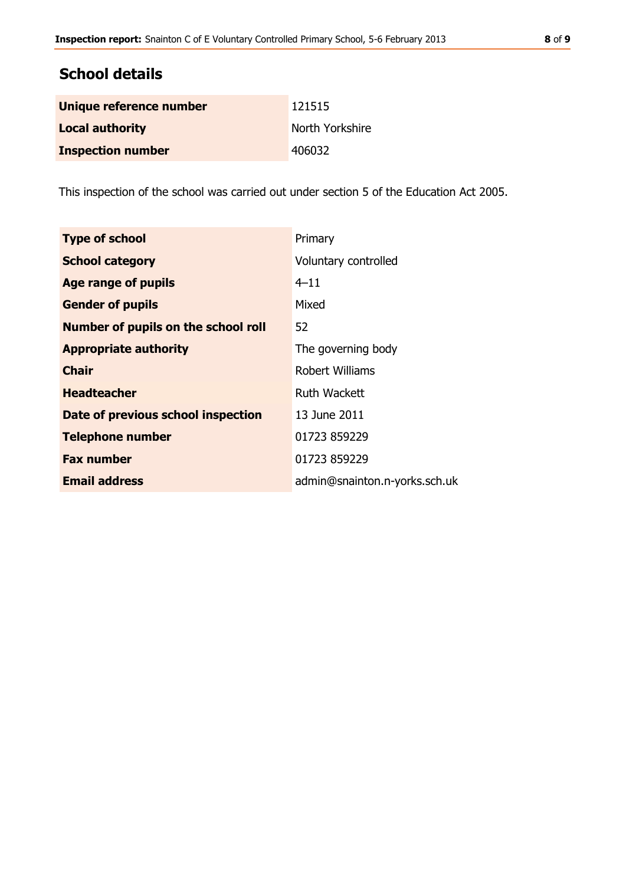## **School details**

| Unique reference number  | 121515          |
|--------------------------|-----------------|
| <b>Local authority</b>   | North Yorkshire |
| <b>Inspection number</b> | 406032          |

This inspection of the school was carried out under section 5 of the Education Act 2005.

| <b>Type of school</b>                      | Primary                       |
|--------------------------------------------|-------------------------------|
| <b>School category</b>                     | Voluntary controlled          |
| Age range of pupils                        | $4 - 11$                      |
| <b>Gender of pupils</b>                    | Mixed                         |
| <b>Number of pupils on the school roll</b> | 52.                           |
| <b>Appropriate authority</b>               | The governing body            |
| <b>Chair</b>                               | Robert Williams               |
| <b>Headteacher</b>                         | Ruth Wackett                  |
| Date of previous school inspection         | 13 June 2011                  |
| <b>Telephone number</b>                    | 01723 859229                  |
| <b>Fax number</b>                          | 01723 859229                  |
| <b>Email address</b>                       | admin@snainton.n-yorks.sch.uk |